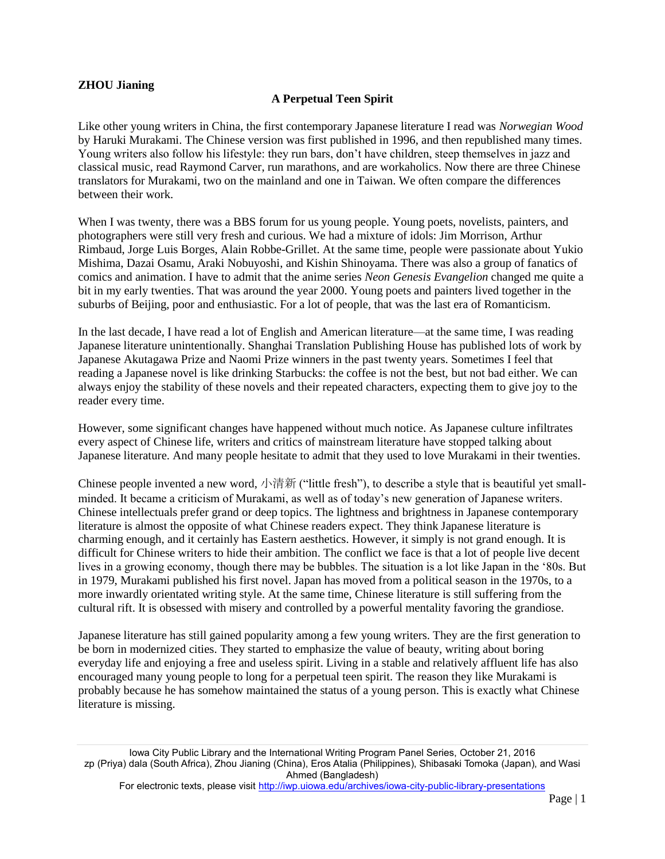## **ZHOU Jianing**

## **A Perpetual Teen Spirit**

Like other young writers in China, the first contemporary Japanese literature I read was *Norwegian Wood* by Haruki Murakami. The Chinese version was first published in 1996, and then republished many times. Young writers also follow his lifestyle: they run bars, don't have children, steep themselves in jazz and classical music, read Raymond Carver, run marathons, and are workaholics. Now there are three Chinese translators for Murakami, two on the mainland and one in Taiwan. We often compare the differences between their work.

When I was twenty, there was a BBS forum for us young people. Young poets, novelists, painters, and photographers were still very fresh and curious. We had a mixture of idols: Jim Morrison, Arthur Rimbaud, Jorge Luis Borges, Alain Robbe-Grillet. At the same time, people were passionate about Yukio Mishima, Dazai Osamu, Araki Nobuyoshi, and Kishin Shinoyama. There was also a group of fanatics of comics and animation. I have to admit that the anime series *Neon Genesis Evangelion* changed me quite a bit in my early twenties. That was around the year 2000. Young poets and painters lived together in the suburbs of Beijing, poor and enthusiastic. For a lot of people, that was the last era of Romanticism.

In the last decade, I have read a lot of English and American literature—at the same time, I was reading Japanese literature unintentionally. Shanghai Translation Publishing House has published lots of work by Japanese Akutagawa Prize and Naomi Prize winners in the past twenty years. Sometimes I feel that reading a Japanese novel is like drinking Starbucks: the coffee is not the best, but not bad either. We can always enjoy the stability of these novels and their repeated characters, expecting them to give joy to the reader every time.

However, some significant changes have happened without much notice. As Japanese culture infiltrates every aspect of Chinese life, writers and critics of mainstream literature have stopped talking about Japanese literature. And many people hesitate to admit that they used to love Murakami in their twenties.

Chinese people invented a new word, 小清新 ("little fresh"), to describe a style that is beautiful yet smallminded. It became a criticism of Murakami, as well as of today's new generation of Japanese writers. Chinese intellectuals prefer grand or deep topics. The lightness and brightness in Japanese contemporary literature is almost the opposite of what Chinese readers expect. They think Japanese literature is charming enough, and it certainly has Eastern aesthetics. However, it simply is not grand enough. It is difficult for Chinese writers to hide their ambition. The conflict we face is that a lot of people live decent lives in a growing economy, though there may be bubbles. The situation is a lot like Japan in the '80s. But in 1979, Murakami published his first novel. Japan has moved from a political season in the 1970s, to a more inwardly orientated writing style. At the same time, Chinese literature is still suffering from the cultural rift. It is obsessed with misery and controlled by a powerful mentality favoring the grandiose.

Japanese literature has still gained popularity among a few young writers. They are the first generation to be born in modernized cities. They started to emphasize the value of beauty, writing about boring everyday life and enjoying a free and useless spirit. Living in a stable and relatively affluent life has also encouraged many young people to long for a perpetual teen spirit. The reason they like Murakami is probably because he has somehow maintained the status of a young person. This is exactly what Chinese literature is missing.

Iowa City Public Library and the International Writing Program Panel Series, October 21, 2016 zp (Priya) dala (South Africa), Zhou Jianing (China), Eros Atalia (Philippines), Shibasaki Tomoka (Japan), and Wasi Ahmed (Bangladesh)

For electronic texts, please visit<http://iwp.uiowa.edu/archives/iowa-city-public-library-presentations>